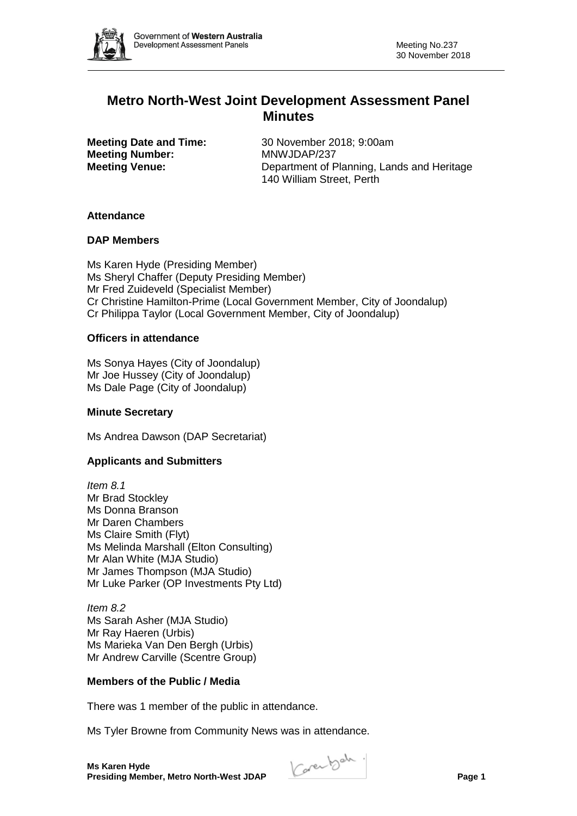

# **Metro North-West Joint Development Assessment Panel Minutes**

**Meeting Number:** MNWJDAP/237

**Meeting Date and Time:** 30 November 2018; 9:00am **Meeting Venue:** Department of Planning, Lands and Heritage 140 William Street, Perth

## **Attendance**

## **DAP Members**

Ms Karen Hyde (Presiding Member) Ms Sheryl Chaffer (Deputy Presiding Member) Mr Fred Zuideveld (Specialist Member) Cr Christine Hamilton-Prime (Local Government Member, City of Joondalup) Cr Philippa Taylor (Local Government Member, City of Joondalup)

## **Officers in attendance**

Ms Sonya Hayes (City of Joondalup) Mr Joe Hussey (City of Joondalup) Ms Dale Page (City of Joondalup)

## **Minute Secretary**

Ms Andrea Dawson (DAP Secretariat)

## **Applicants and Submitters**

*Item 8.1* Mr Brad Stockley Ms Donna Branson Mr Daren Chambers Ms Claire Smith (Flyt) Ms Melinda Marshall (Elton Consulting) Mr Alan White (MJA Studio) Mr James Thompson (MJA Studio) Mr Luke Parker (OP Investments Pty Ltd)

*Item 8.2* Ms Sarah Asher (MJA Studio) Mr Ray Haeren (Urbis) Ms Marieka Van Den Bergh (Urbis) Mr Andrew Carville (Scentre Group)

## **Members of the Public / Media**

There was 1 member of the public in attendance.

Ms Tyler Browne from Community News was in attendance.

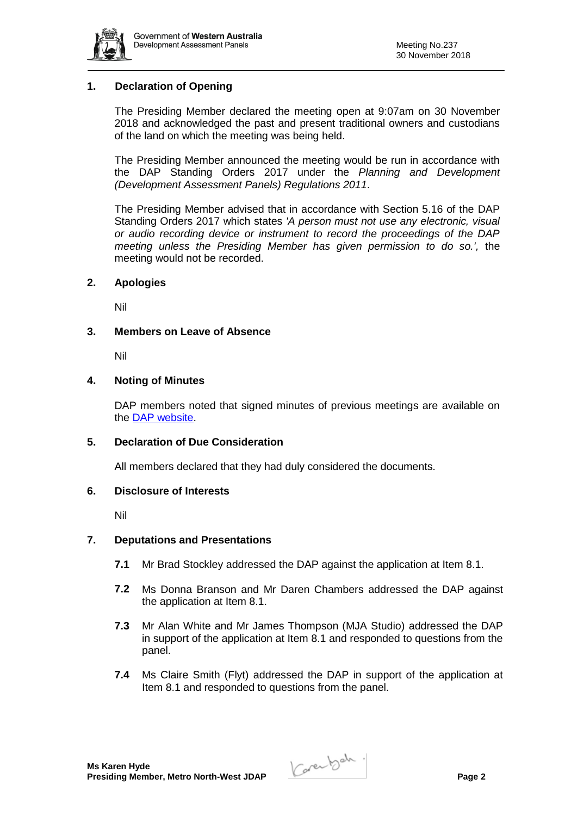

## **1. Declaration of Opening**

The Presiding Member declared the meeting open at 9:07am on 30 November 2018 and acknowledged the past and present traditional owners and custodians of the land on which the meeting was being held.

The Presiding Member announced the meeting would be run in accordance with the DAP Standing Orders 2017 under the *Planning and Development (Development Assessment Panels) Regulations 2011*.

The Presiding Member advised that in accordance with Section 5.16 of the DAP Standing Orders 2017 which states *'A person must not use any electronic, visual or audio recording device or instrument to record the proceedings of the DAP meeting unless the Presiding Member has given permission to do so.',* the meeting would not be recorded.

#### **2. Apologies**

Nil

#### **3. Members on Leave of Absence**

Nil

#### **4. Noting of Minutes**

DAP members noted that signed minutes of previous meetings are available on the [DAP website.](https://www.planning.wa.gov.au/7578.aspx)

#### **5. Declaration of Due Consideration**

All members declared that they had duly considered the documents.

#### **6. Disclosure of Interests**

Nil

#### **7. Deputations and Presentations**

- **7.1** Mr Brad Stockley addressed the DAP against the application at Item 8.1.
- **7.2** Ms Donna Branson and Mr Daren Chambers addressed the DAP against the application at Item 8.1.
- **7.3** Mr Alan White and Mr James Thompson (MJA Studio) addressed the DAP in support of the application at Item 8.1 and responded to questions from the panel.
- **7.4** Ms Claire Smith (Flyt) addressed the DAP in support of the application at Item 8.1 and responded to questions from the panel.

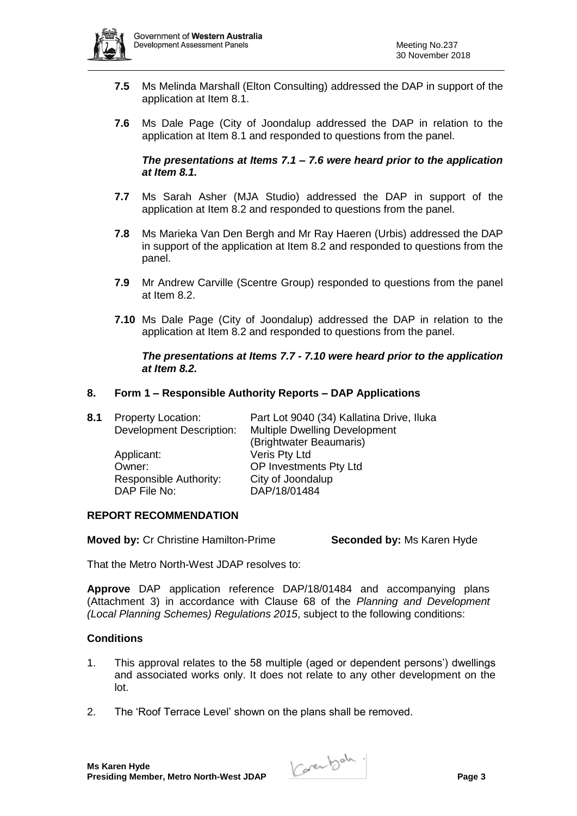

- **7.5** Ms Melinda Marshall (Elton Consulting) addressed the DAP in support of the application at Item 8.1.
- **7.6** Ms Dale Page (City of Joondalup addressed the DAP in relation to the application at Item 8.1 and responded to questions from the panel.

#### *The presentations at Items 7.1 – 7.6 were heard prior to the application at Item 8.1.*

- **7.7** Ms Sarah Asher (MJA Studio) addressed the DAP in support of the application at Item 8.2 and responded to questions from the panel.
- **7.8** Ms Marieka Van Den Bergh and Mr Ray Haeren (Urbis) addressed the DAP in support of the application at Item 8.2 and responded to questions from the panel.
- **7.9** Mr Andrew Carville (Scentre Group) responded to questions from the panel at Item 8.2.
- **7.10** Ms Dale Page (City of Joondalup) addressed the DAP in relation to the application at Item 8.2 and responded to questions from the panel.

#### *The presentations at Items 7.7 - 7.10 were heard prior to the application at Item 8.2.*

## **8. Form 1 – Responsible Authority Reports – DAP Applications**

| <b>Property Location:</b>       | Part Lot 9040 (34) Kallatina Drive, Iluka |
|---------------------------------|-------------------------------------------|
| <b>Development Description:</b> | <b>Multiple Dwelling Development</b>      |
|                                 | (Brightwater Beaumaris)                   |
| Applicant:                      | Veris Pty Ltd                             |
| Owner:                          | OP Investments Pty Ltd                    |
| Responsible Authority:          | City of Joondalup                         |
| DAP File No:                    | DAP/18/01484                              |
|                                 |                                           |

#### **REPORT RECOMMENDATION**

**Moved by:** Cr Christine Hamilton-Prime **Seconded by:** Ms Karen Hyde

That the Metro North-West JDAP resolves to:

**Approve** DAP application reference DAP/18/01484 and accompanying plans (Attachment 3) in accordance with Clause 68 of the *Planning and Development (Local Planning Schemes) Regulations 2015*, subject to the following conditions:

#### **Conditions**

- 1. This approval relates to the 58 multiple (aged or dependent persons') dwellings and associated works only. It does not relate to any other development on the lot.
- 2. The 'Roof Terrace Level' shown on the plans shall be removed.

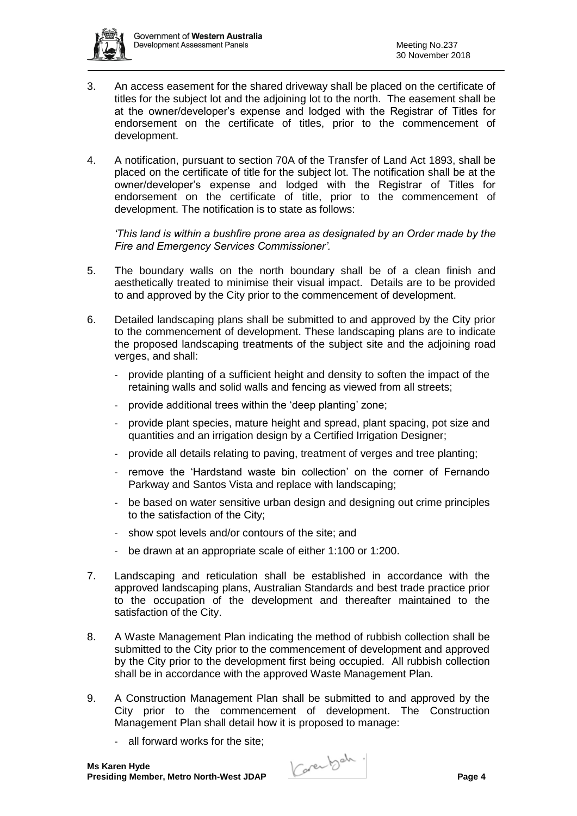

- 3. An access easement for the shared driveway shall be placed on the certificate of titles for the subject lot and the adjoining lot to the north. The easement shall be at the owner/developer's expense and lodged with the Registrar of Titles for endorsement on the certificate of titles, prior to the commencement of development.
- 4. A notification, pursuant to section 70A of the Transfer of Land Act 1893, shall be placed on the certificate of title for the subject lot. The notification shall be at the owner/developer's expense and lodged with the Registrar of Titles for endorsement on the certificate of title, prior to the commencement of development. The notification is to state as follows:

*'This land is within a bushfire prone area as designated by an Order made by the Fire and Emergency Services Commissioner'.*

- 5. The boundary walls on the north boundary shall be of a clean finish and aesthetically treated to minimise their visual impact. Details are to be provided to and approved by the City prior to the commencement of development.
- 6. Detailed landscaping plans shall be submitted to and approved by the City prior to the commencement of development. These landscaping plans are to indicate the proposed landscaping treatments of the subject site and the adjoining road verges, and shall:
	- provide planting of a sufficient height and density to soften the impact of the retaining walls and solid walls and fencing as viewed from all streets;
	- provide additional trees within the 'deep planting' zone;
	- provide plant species, mature height and spread, plant spacing, pot size and quantities and an irrigation design by a Certified Irrigation Designer;
	- provide all details relating to paving, treatment of verges and tree planting;
	- remove the 'Hardstand waste bin collection' on the corner of Fernando Parkway and Santos Vista and replace with landscaping;
	- be based on water sensitive urban design and designing out crime principles to the satisfaction of the City;
	- show spot levels and/or contours of the site; and
	- be drawn at an appropriate scale of either 1:100 or 1:200.
- 7. Landscaping and reticulation shall be established in accordance with the approved landscaping plans, Australian Standards and best trade practice prior to the occupation of the development and thereafter maintained to the satisfaction of the City.
- 8. A Waste Management Plan indicating the method of rubbish collection shall be submitted to the City prior to the commencement of development and approved by the City prior to the development first being occupied. All rubbish collection shall be in accordance with the approved Waste Management Plan.
- 9. A Construction Management Plan shall be submitted to and approved by the City prior to the commencement of development. The Construction Management Plan shall detail how it is proposed to manage:
	- all forward works for the site;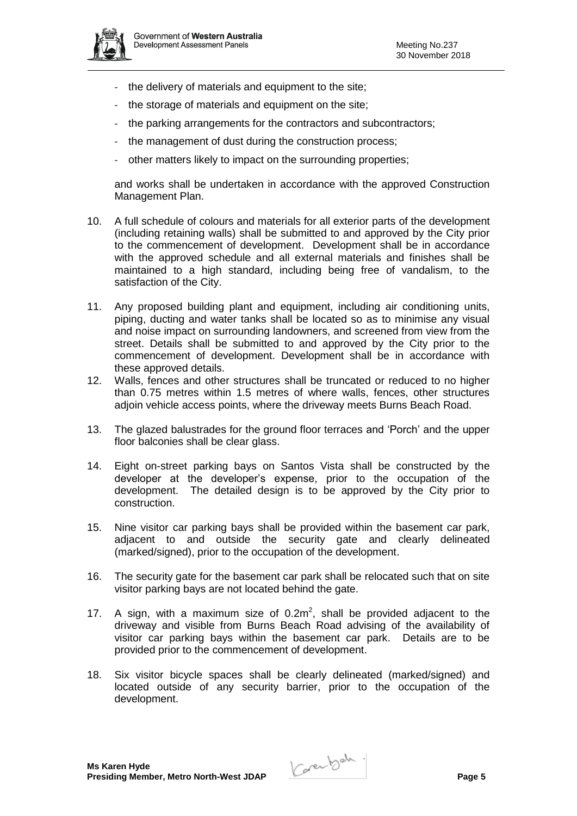

- the delivery of materials and equipment to the site;
- the storage of materials and equipment on the site;
- the parking arrangements for the contractors and subcontractors;
- the management of dust during the construction process;
- other matters likely to impact on the surrounding properties;

and works shall be undertaken in accordance with the approved Construction Management Plan.

- 10. A full schedule of colours and materials for all exterior parts of the development (including retaining walls) shall be submitted to and approved by the City prior to the commencement of development. Development shall be in accordance with the approved schedule and all external materials and finishes shall be maintained to a high standard, including being free of vandalism, to the satisfaction of the City.
- 11. Any proposed building plant and equipment, including air conditioning units, piping, ducting and water tanks shall be located so as to minimise any visual and noise impact on surrounding landowners, and screened from view from the street. Details shall be submitted to and approved by the City prior to the commencement of development. Development shall be in accordance with these approved details.
- 12. Walls, fences and other structures shall be truncated or reduced to no higher than 0.75 metres within 1.5 metres of where walls, fences, other structures adjoin vehicle access points, where the driveway meets Burns Beach Road.
- 13. The glazed balustrades for the ground floor terraces and 'Porch' and the upper floor balconies shall be clear glass.
- 14. Eight on-street parking bays on Santos Vista shall be constructed by the developer at the developer's expense, prior to the occupation of the development. The detailed design is to be approved by the City prior to construction.
- 15. Nine visitor car parking bays shall be provided within the basement car park, adjacent to and outside the security gate and clearly delineated (marked/signed), prior to the occupation of the development.
- 16. The security gate for the basement car park shall be relocated such that on site visitor parking bays are not located behind the gate.
- 17. A sign, with a maximum size of  $0.2m^2$ , shall be provided adjacent to the driveway and visible from Burns Beach Road advising of the availability of visitor car parking bays within the basement car park. Details are to be provided prior to the commencement of development.
- 18. Six visitor bicycle spaces shall be clearly delineated (marked/signed) and located outside of any security barrier, prior to the occupation of the development.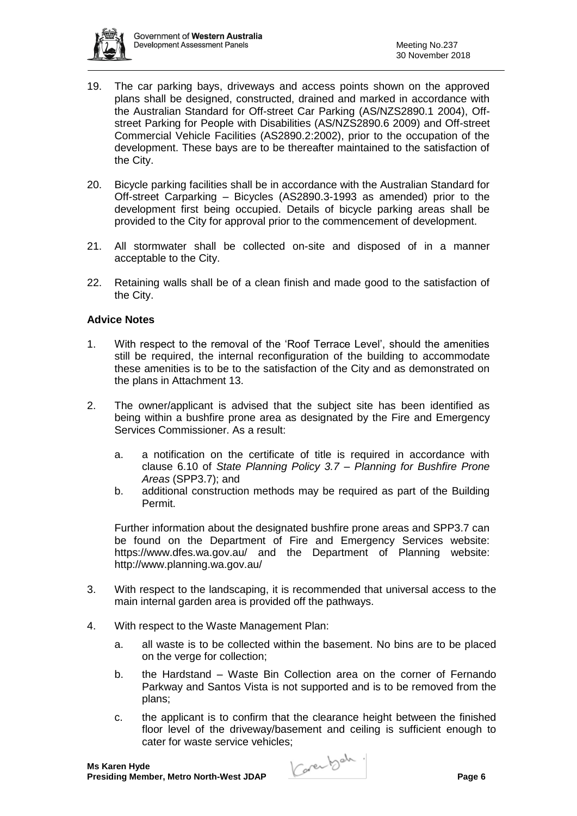

- 19. The car parking bays, driveways and access points shown on the approved plans shall be designed, constructed, drained and marked in accordance with the Australian Standard for Off-street Car Parking (AS/NZS2890.1 2004), Offstreet Parking for People with Disabilities (AS/NZS2890.6 2009) and Off-street Commercial Vehicle Facilities (AS2890.2:2002), prior to the occupation of the development. These bays are to be thereafter maintained to the satisfaction of the City.
- 20. Bicycle parking facilities shall be in accordance with the Australian Standard for Off-street Carparking – Bicycles (AS2890.3-1993 as amended) prior to the development first being occupied. Details of bicycle parking areas shall be provided to the City for approval prior to the commencement of development.
- 21. All stormwater shall be collected on-site and disposed of in a manner acceptable to the City.
- 22. Retaining walls shall be of a clean finish and made good to the satisfaction of the City.

## **Advice Notes**

- 1. With respect to the removal of the 'Roof Terrace Level', should the amenities still be required, the internal reconfiguration of the building to accommodate these amenities is to be to the satisfaction of the City and as demonstrated on the plans in Attachment 13.
- 2. The owner/applicant is advised that the subject site has been identified as being within a bushfire prone area as designated by the Fire and Emergency Services Commissioner. As a result:
	- a. a notification on the certificate of title is required in accordance with clause 6.10 of *State Planning Policy 3.7 – Planning for Bushfire Prone Areas* (SPP3.7); and
	- b. additional construction methods may be required as part of the Building Permit.

Further information about the designated bushfire prone areas and SPP3.7 can be found on the Department of Fire and Emergency Services website: <https://www.dfes.wa.gov.au/> and the Department of Planning website: <http://www.planning.wa.gov.au/>

- 3. With respect to the landscaping, it is recommended that universal access to the main internal garden area is provided off the pathways.
- 4. With respect to the Waste Management Plan:
	- a. all waste is to be collected within the basement. No bins are to be placed on the verge for collection;
	- b. the Hardstand Waste Bin Collection area on the corner of Fernando Parkway and Santos Vista is not supported and is to be removed from the plans;
	- c. the applicant is to confirm that the clearance height between the finished floor level of the driveway/basement and ceiling is sufficient enough to cater for waste service vehicles;

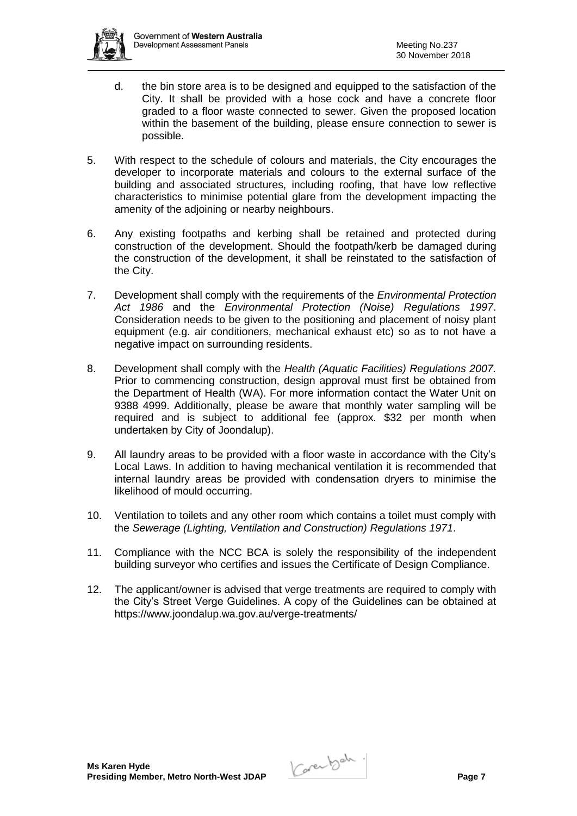

- d. the bin store area is to be designed and equipped to the satisfaction of the City. It shall be provided with a hose cock and have a concrete floor graded to a floor waste connected to sewer. Given the proposed location within the basement of the building, please ensure connection to sewer is possible.
- 5. With respect to the schedule of colours and materials, the City encourages the developer to incorporate materials and colours to the external surface of the building and associated structures, including roofing, that have low reflective characteristics to minimise potential glare from the development impacting the amenity of the adjoining or nearby neighbours.
- 6. Any existing footpaths and kerbing shall be retained and protected during construction of the development. Should the footpath/kerb be damaged during the construction of the development, it shall be reinstated to the satisfaction of the City.
- 7. Development shall comply with the requirements of the *Environmental Protection Act 1986* and the *Environmental Protection (Noise) Regulations 1997*. Consideration needs to be given to the positioning and placement of noisy plant equipment (e.g. air conditioners, mechanical exhaust etc) so as to not have a negative impact on surrounding residents.
- 8. Development shall comply with the *Health (Aquatic Facilities) Regulations 2007.* Prior to commencing construction, design approval must first be obtained from the Department of Health (WA). For more information contact the Water Unit on 9388 4999. Additionally, please be aware that monthly water sampling will be required and is subject to additional fee (approx. \$32 per month when undertaken by City of Joondalup).
- 9. All laundry areas to be provided with a floor waste in accordance with the City's Local Laws. In addition to having mechanical ventilation it is recommended that internal laundry areas be provided with condensation dryers to minimise the likelihood of mould occurring.
- 10. Ventilation to toilets and any other room which contains a toilet must comply with the *Sewerage (Lighting, Ventilation and Construction) Regulations 1971*.
- 11. Compliance with the NCC BCA is solely the responsibility of the independent building surveyor who certifies and issues the Certificate of Design Compliance.
- 12. The applicant/owner is advised that verge treatments are required to comply with the City's Street Verge Guidelines. A copy of the Guidelines can be obtained at <https://www.joondalup.wa.gov.au/verge-treatments/>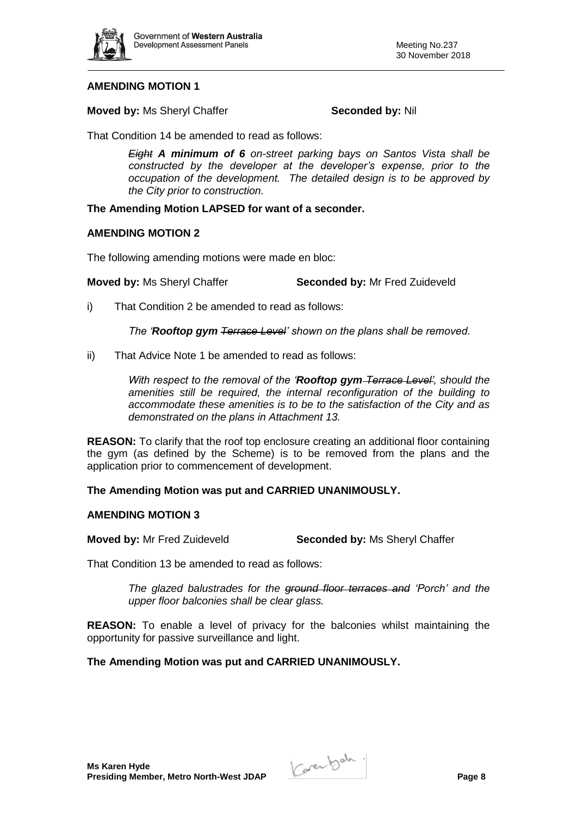

## **AMENDING MOTION 1**

**Moved by:** Ms Sheryl Chaffer **Seconded by: Nil** Seconded by: Nil

That Condition 14 be amended to read as follows:

*Eight A minimum of 6 on-street parking bays on Santos Vista shall be constructed by the developer at the developer's expense, prior to the occupation of the development. The detailed design is to be approved by the City prior to construction.*

### **The Amending Motion LAPSED for want of a seconder.**

#### **AMENDING MOTION 2**

The following amending motions were made en bloc:

**Moved by: Ms Sheryl Chaffer <b>Seconded by:** Mr Fred Zuideveld

i) That Condition 2 be amended to read as follows:

*The 'Rooftop gym Terrace Level' shown on the plans shall be removed*.

ii) That Advice Note 1 be amended to read as follows:

*With respect to the removal of the 'Rooftop gym Terrace Level', should the amenities still be required, the internal reconfiguration of the building to accommodate these amenities is to be to the satisfaction of the City and as demonstrated on the plans in Attachment 13.*

**REASON:** To clarify that the roof top enclosure creating an additional floor containing the gym (as defined by the Scheme) is to be removed from the plans and the application prior to commencement of development.

**The Amending Motion was put and CARRIED UNANIMOUSLY.**

## **AMENDING MOTION 3**

**Moved by:** Mr Fred Zuideveld **Seconded by:** Ms Sheryl Chaffer

That Condition 13 be amended to read as follows:

*The glazed balustrades for the ground floor terraces and 'Porch' and the upper floor balconies shall be clear glass.*

**REASON:** To enable a level of privacy for the balconies whilst maintaining the opportunity for passive surveillance and light.

**The Amending Motion was put and CARRIED UNANIMOUSLY.**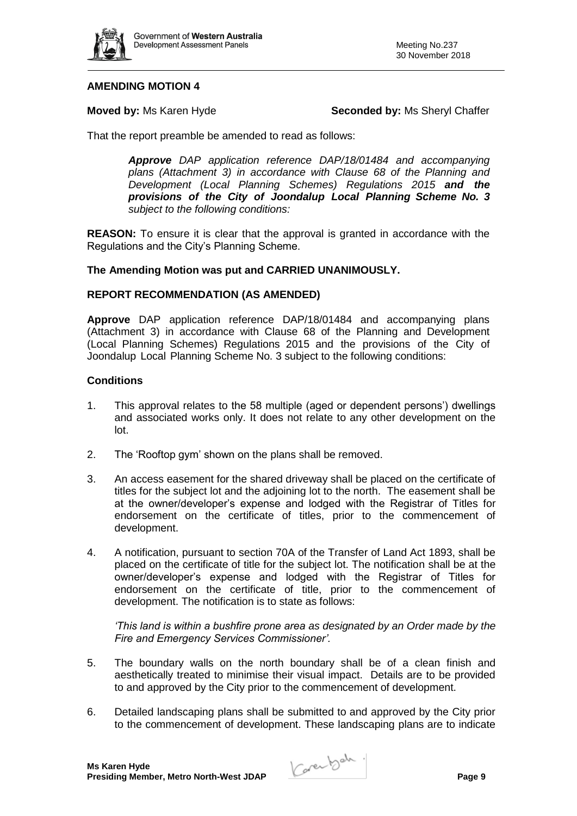

## **AMENDING MOTION 4**

**Moved by:** Ms Karen Hyde **Seconded by:** Ms Sheryl Chaffer

That the report preamble be amended to read as follows:

*Approve DAP application reference DAP/18/01484 and accompanying plans (Attachment 3) in accordance with Clause 68 of the Planning and Development (Local Planning Schemes) Regulations 2015 and the provisions of the City of Joondalup Local Planning Scheme No. 3 subject to the following conditions:*

**REASON:** To ensure it is clear that the approval is granted in accordance with the Regulations and the City's Planning Scheme.

## **The Amending Motion was put and CARRIED UNANIMOUSLY.**

## **REPORT RECOMMENDATION (AS AMENDED)**

**Approve** DAP application reference DAP/18/01484 and accompanying plans (Attachment 3) in accordance with Clause 68 of the Planning and Development (Local Planning Schemes) Regulations 2015 and the provisions of the City of Joondalup Local Planning Scheme No. 3 subject to the following conditions:

#### **Conditions**

- 1. This approval relates to the 58 multiple (aged or dependent persons') dwellings and associated works only. It does not relate to any other development on the lot.
- 2. The 'Rooftop gym' shown on the plans shall be removed.
- 3. An access easement for the shared driveway shall be placed on the certificate of titles for the subject lot and the adjoining lot to the north. The easement shall be at the owner/developer's expense and lodged with the Registrar of Titles for endorsement on the certificate of titles, prior to the commencement of development.
- 4. A notification, pursuant to section 70A of the Transfer of Land Act 1893, shall be placed on the certificate of title for the subject lot. The notification shall be at the owner/developer's expense and lodged with the Registrar of Titles for endorsement on the certificate of title, prior to the commencement of development. The notification is to state as follows:

*'This land is within a bushfire prone area as designated by an Order made by the Fire and Emergency Services Commissioner'.*

- 5. The boundary walls on the north boundary shall be of a clean finish and aesthetically treated to minimise their visual impact. Details are to be provided to and approved by the City prior to the commencement of development.
- 6. Detailed landscaping plans shall be submitted to and approved by the City prior to the commencement of development. These landscaping plans are to indicate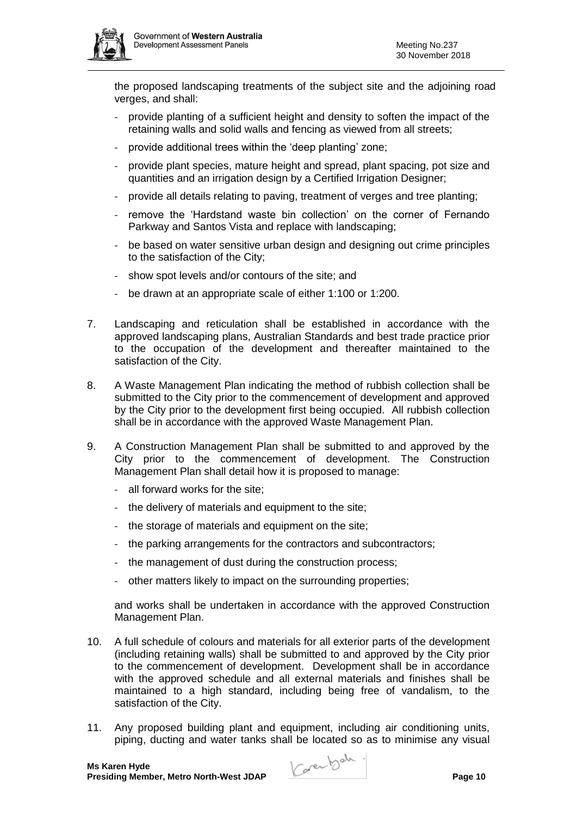

the proposed landscaping treatments of the subject site and the adjoining road verges, and shall:

- provide planting of a sufficient height and density to soften the impact of the retaining walls and solid walls and fencing as viewed from all streets;
- provide additional trees within the 'deep planting' zone;
- provide plant species, mature height and spread, plant spacing, pot size and quantities and an irrigation design by a Certified Irrigation Designer;
- provide all details relating to paving, treatment of verges and tree planting;
- remove the 'Hardstand waste bin collection' on the corner of Fernando Parkway and Santos Vista and replace with landscaping;
- be based on water sensitive urban design and designing out crime principles to the satisfaction of the City;
- show spot levels and/or contours of the site; and
- be drawn at an appropriate scale of either 1:100 or 1:200.
- 7. Landscaping and reticulation shall be established in accordance with the approved landscaping plans, Australian Standards and best trade practice prior to the occupation of the development and thereafter maintained to the satisfaction of the City.
- 8. A Waste Management Plan indicating the method of rubbish collection shall be submitted to the City prior to the commencement of development and approved by the City prior to the development first being occupied. All rubbish collection shall be in accordance with the approved Waste Management Plan.
- 9. A Construction Management Plan shall be submitted to and approved by the City prior to the commencement of development. The Construction Management Plan shall detail how it is proposed to manage:
	- all forward works for the site;
	- the delivery of materials and equipment to the site;
	- the storage of materials and equipment on the site;
	- the parking arrangements for the contractors and subcontractors;
	- the management of dust during the construction process;
	- other matters likely to impact on the surrounding properties;

and works shall be undertaken in accordance with the approved Construction Management Plan.

- 10. A full schedule of colours and materials for all exterior parts of the development (including retaining walls) shall be submitted to and approved by the City prior to the commencement of development. Development shall be in accordance with the approved schedule and all external materials and finishes shall be maintained to a high standard, including being free of vandalism, to the satisfaction of the City.
- 11. Any proposed building plant and equipment, including air conditioning units, piping, ducting and water tanks shall be located so as to minimise any visual

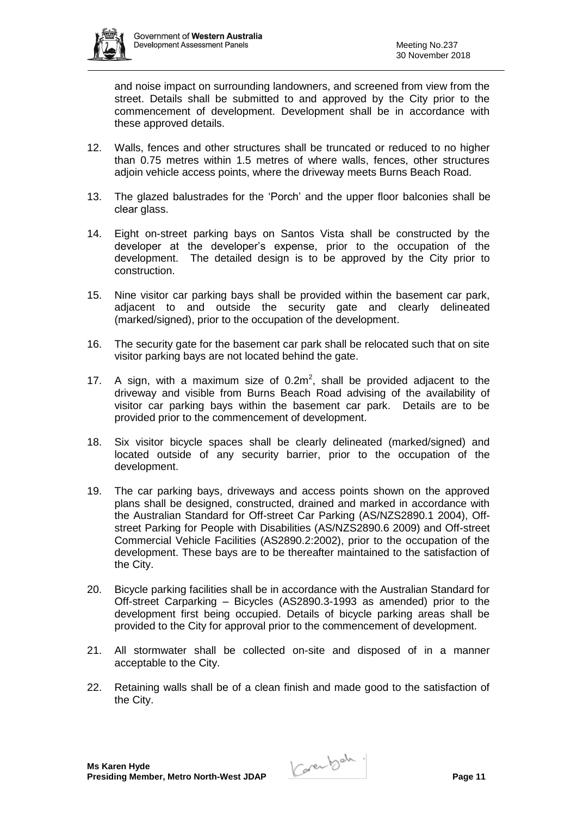

and noise impact on surrounding landowners, and screened from view from the street. Details shall be submitted to and approved by the City prior to the commencement of development. Development shall be in accordance with these approved details.

- 12. Walls, fences and other structures shall be truncated or reduced to no higher than 0.75 metres within 1.5 metres of where walls, fences, other structures adjoin vehicle access points, where the driveway meets Burns Beach Road.
- 13. The glazed balustrades for the 'Porch' and the upper floor balconies shall be clear glass.
- 14. Eight on-street parking bays on Santos Vista shall be constructed by the developer at the developer's expense, prior to the occupation of the development. The detailed design is to be approved by the City prior to construction.
- 15. Nine visitor car parking bays shall be provided within the basement car park, adjacent to and outside the security gate and clearly delineated (marked/signed), prior to the occupation of the development.
- 16. The security gate for the basement car park shall be relocated such that on site visitor parking bays are not located behind the gate.
- 17. A sign, with a maximum size of  $0.2m^2$ , shall be provided adjacent to the driveway and visible from Burns Beach Road advising of the availability of visitor car parking bays within the basement car park. Details are to be provided prior to the commencement of development.
- 18. Six visitor bicycle spaces shall be clearly delineated (marked/signed) and located outside of any security barrier, prior to the occupation of the development.
- 19. The car parking bays, driveways and access points shown on the approved plans shall be designed, constructed, drained and marked in accordance with the Australian Standard for Off-street Car Parking (AS/NZS2890.1 2004), Offstreet Parking for People with Disabilities (AS/NZS2890.6 2009) and Off-street Commercial Vehicle Facilities (AS2890.2:2002), prior to the occupation of the development. These bays are to be thereafter maintained to the satisfaction of the City.
- 20. Bicycle parking facilities shall be in accordance with the Australian Standard for Off-street Carparking – Bicycles (AS2890.3-1993 as amended) prior to the development first being occupied. Details of bicycle parking areas shall be provided to the City for approval prior to the commencement of development.
- 21. All stormwater shall be collected on-site and disposed of in a manner acceptable to the City.
- 22. Retaining walls shall be of a clean finish and made good to the satisfaction of the City.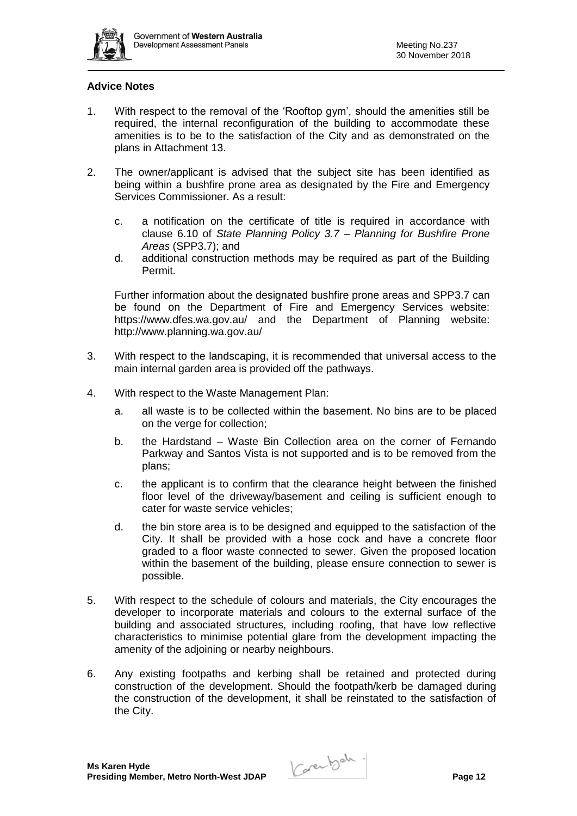

## **Advice Notes**

- 1. With respect to the removal of the 'Rooftop gym', should the amenities still be required, the internal reconfiguration of the building to accommodate these amenities is to be to the satisfaction of the City and as demonstrated on the plans in Attachment 13.
- 2. The owner/applicant is advised that the subject site has been identified as being within a bushfire prone area as designated by the Fire and Emergency Services Commissioner. As a result:
	- c. a notification on the certificate of title is required in accordance with clause 6.10 of *State Planning Policy 3.7 – Planning for Bushfire Prone Areas* (SPP3.7); and
	- d. additional construction methods may be required as part of the Building Permit.

Further information about the designated bushfire prone areas and SPP3.7 can be found on the Department of Fire and Emergency Services website: <https://www.dfes.wa.gov.au/>and the Department of Planning website: <http://www.planning.wa.gov.au/>

- 3. With respect to the landscaping, it is recommended that universal access to the main internal garden area is provided off the pathways.
- 4. With respect to the Waste Management Plan:
	- a. all waste is to be collected within the basement. No bins are to be placed on the verge for collection;
	- b. the Hardstand Waste Bin Collection area on the corner of Fernando Parkway and Santos Vista is not supported and is to be removed from the plans;
	- c. the applicant is to confirm that the clearance height between the finished floor level of the driveway/basement and ceiling is sufficient enough to cater for waste service vehicles;
	- d. the bin store area is to be designed and equipped to the satisfaction of the City. It shall be provided with a hose cock and have a concrete floor graded to a floor waste connected to sewer. Given the proposed location within the basement of the building, please ensure connection to sewer is possible.
- 5. With respect to the schedule of colours and materials, the City encourages the developer to incorporate materials and colours to the external surface of the building and associated structures, including roofing, that have low reflective characteristics to minimise potential glare from the development impacting the amenity of the adjoining or nearby neighbours.
- 6. Any existing footpaths and kerbing shall be retained and protected during construction of the development. Should the footpath/kerb be damaged during the construction of the development, it shall be reinstated to the satisfaction of the City.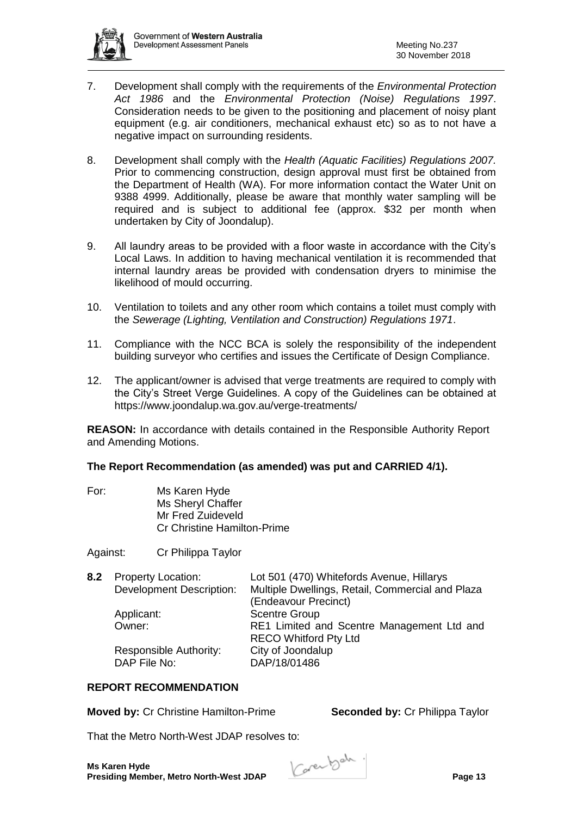- 7. Development shall comply with the requirements of the *Environmental Protection Act 1986* and the *Environmental Protection (Noise) Regulations 1997*. Consideration needs to be given to the positioning and placement of noisy plant equipment (e.g. air conditioners, mechanical exhaust etc) so as to not have a negative impact on surrounding residents.
- 8. Development shall comply with the *Health (Aquatic Facilities) Regulations 2007.* Prior to commencing construction, design approval must first be obtained from the Department of Health (WA). For more information contact the Water Unit on 9388 4999. Additionally, please be aware that monthly water sampling will be required and is subject to additional fee (approx. \$32 per month when undertaken by City of Joondalup).
- 9. All laundry areas to be provided with a floor waste in accordance with the City's Local Laws. In addition to having mechanical ventilation it is recommended that internal laundry areas be provided with condensation dryers to minimise the likelihood of mould occurring.
- 10. Ventilation to toilets and any other room which contains a toilet must comply with the *Sewerage (Lighting, Ventilation and Construction) Regulations 1971*.
- 11. Compliance with the NCC BCA is solely the responsibility of the independent building surveyor who certifies and issues the Certificate of Design Compliance.
- 12. The applicant/owner is advised that verge treatments are required to comply with the City's Street Verge Guidelines. A copy of the Guidelines can be obtained at <https://www.joondalup.wa.gov.au/verge-treatments/>

**REASON:** In accordance with details contained in the Responsible Authority Report and Amending Motions.

## **The Report Recommendation (as amended) was put and CARRIED 4/1).**

For: Ms Karen Hyde Ms Sheryl Chaffer Mr Fred Zuideveld Cr Christine Hamilton-Prime

Against: Cr Philippa Taylor

| 8.2 Property Location:          | Lot 501 (470) Whitefords Avenue, Hillarys        |
|---------------------------------|--------------------------------------------------|
| <b>Development Description:</b> | Multiple Dwellings, Retail, Commercial and Plaza |
|                                 | (Endeavour Precinct)                             |
| Applicant:                      | <b>Scentre Group</b>                             |
| Owner:                          | RE1 Limited and Scentre Management Ltd and       |
|                                 | <b>RECO Whitford Pty Ltd</b>                     |
| Responsible Authority:          | City of Joondalup                                |
| DAP File No:                    | DAP/18/01486                                     |
|                                 |                                                  |

#### **REPORT RECOMMENDATION**

**Moved by:** Cr Christine Hamilton-Prime **Seconded by:** Cr Philippa Taylor

That the Metro North-West JDAP resolves to:

**Ms Karen Hyde Ms Karen Hyde**<br>Presiding Member, Metro North-West JDAP **Page 13** 

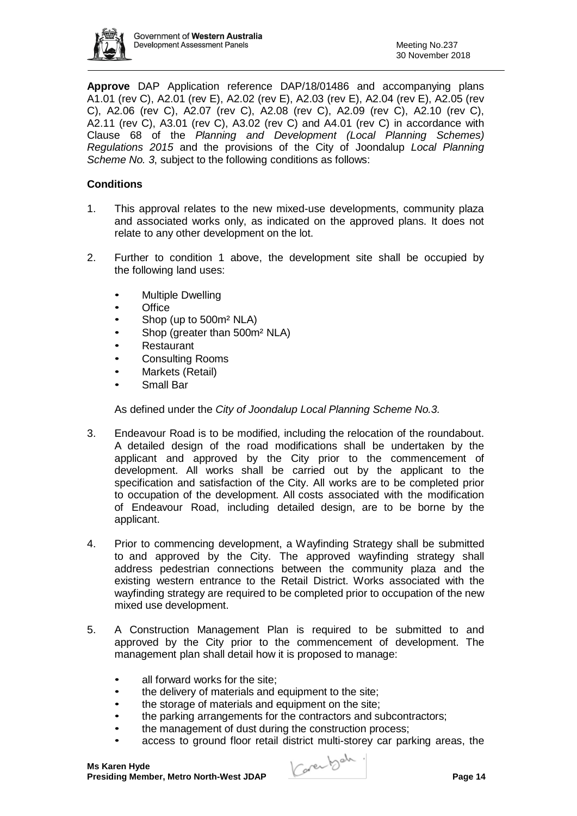

**Approve** DAP Application reference DAP/18/01486 and accompanying plans A1.01 (rev C), A2.01 (rev E), A2.02 (rev E), A2.03 (rev E), A2.04 (rev E), A2.05 (rev C), A2.06 (rev C), A2.07 (rev C), A2.08 (rev C), A2.09 (rev C), A2.10 (rev C), A2.11 (rev C), A3.01 (rev C), A3.02 (rev C) and A4.01 (rev C) in accordance with Clause 68 of the *Planning and Development (Local Planning Schemes) Regulations 2015* and the provisions of the City of Joondalup *Local Planning Scheme No. 3*, subject to the following conditions as follows:

## **Conditions**

- 1. This approval relates to the new mixed-use developments, community plaza and associated works only, as indicated on the approved plans. It does not relate to any other development on the lot.
- 2. Further to condition 1 above, the development site shall be occupied by the following land uses:
	- Multiple Dwelling
	- Office
	- Shop (up to 500m<sup>2</sup> NLA)
	- Shop (greater than 500m<sup>2</sup> NLA)
	- Restaurant
	- Consulting Rooms
	- Markets (Retail)
	- Small Bar

As defined under the *City of Joondalup Local Planning Scheme No.3.*

- 3. Endeavour Road is to be modified, including the relocation of the roundabout. A detailed design of the road modifications shall be undertaken by the applicant and approved by the City prior to the commencement of development. All works shall be carried out by the applicant to the specification and satisfaction of the City. All works are to be completed prior to occupation of the development. All costs associated with the modification of Endeavour Road, including detailed design, are to be borne by the applicant.
- 4. Prior to commencing development, a Wayfinding Strategy shall be submitted to and approved by the City. The approved wayfinding strategy shall address pedestrian connections between the community plaza and the existing western entrance to the Retail District. Works associated with the wayfinding strategy are required to be completed prior to occupation of the new mixed use development.
- 5. A Construction Management Plan is required to be submitted to and approved by the City prior to the commencement of development. The management plan shall detail how it is proposed to manage:
	- all forward works for the site:
	- the delivery of materials and equipment to the site;
	- the storage of materials and equipment on the site;
	- the parking arrangements for the contractors and subcontractors;
	- the management of dust during the construction process;
	- access to ground floor retail district multi-storey car parking areas, the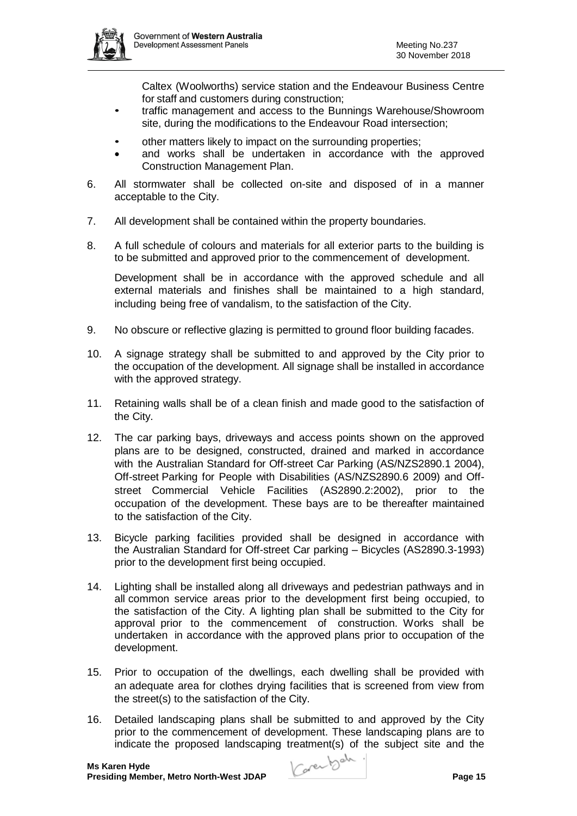

Caltex (Woolworths) service station and the Endeavour Business Centre for staff and customers during construction;

- traffic management and access to the Bunnings Warehouse/Showroom site, during the modifications to the Endeavour Road intersection;
- other matters likely to impact on the surrounding properties;
- and works shall be undertaken in accordance with the approved Construction Management Plan.
- 6. All stormwater shall be collected on-site and disposed of in a manner acceptable to the City.
- 7. All development shall be contained within the property boundaries.
- 8. A full schedule of colours and materials for all exterior parts to the building is to be submitted and approved prior to the commencement of development.

Development shall be in accordance with the approved schedule and all external materials and finishes shall be maintained to a high standard, including being free of vandalism, to the satisfaction of the City.

- 9. No obscure or reflective glazing is permitted to ground floor building facades.
- 10. A signage strategy shall be submitted to and approved by the City prior to the occupation of the development. All signage shall be installed in accordance with the approved strategy.
- 11. Retaining walls shall be of a clean finish and made good to the satisfaction of the City.
- 12. The car parking bays, driveways and access points shown on the approved plans are to be designed, constructed, drained and marked in accordance with the Australian Standard for Off-street Car Parking (AS/NZS2890.1 2004), Off-street Parking for People with Disabilities (AS/NZS2890.6 2009) and Offstreet Commercial Vehicle Facilities (AS2890.2:2002), prior to the occupation of the development. These bays are to be thereafter maintained to the satisfaction of the City.
- 13. Bicycle parking facilities provided shall be designed in accordance with the Australian Standard for Off-street Car parking – Bicycles (AS2890.3-1993) prior to the development first being occupied.
- 14. Lighting shall be installed along all driveways and pedestrian pathways and in all common service areas prior to the development first being occupied, to the satisfaction of the City. A lighting plan shall be submitted to the City for approval prior to the commencement of construction. Works shall be undertaken in accordance with the approved plans prior to occupation of the development.
- 15. Prior to occupation of the dwellings, each dwelling shall be provided with an adequate area for clothes drying facilities that is screened from view from the street(s) to the satisfaction of the City.
- 16. Detailed landscaping plans shall be submitted to and approved by the City prior to the commencement of development. These landscaping plans are to indicate the proposed landscaping treatment(s) of the subject site and the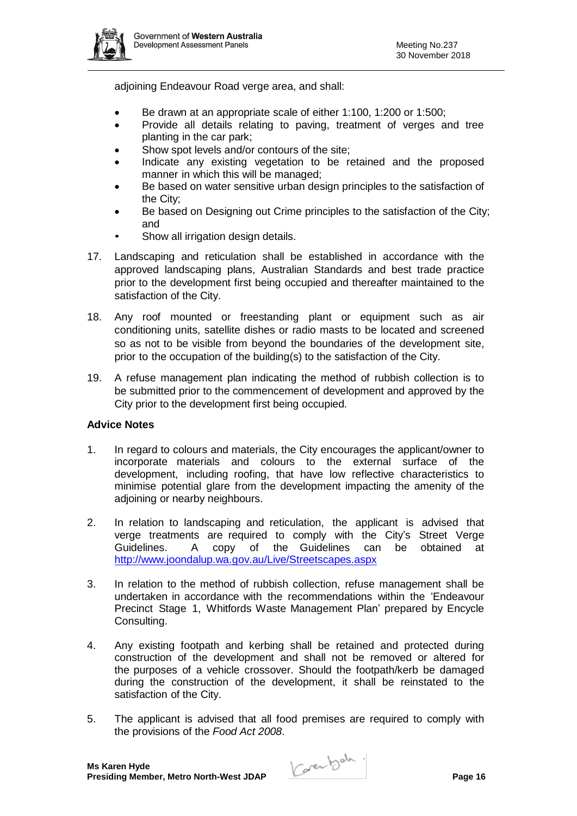

adjoining Endeavour Road verge area, and shall:

- Be drawn at an appropriate scale of either 1:100, 1:200 or 1:500;
- Provide all details relating to paving, treatment of verges and tree planting in the car park;
- Show spot levels and/or contours of the site:
- Indicate any existing vegetation to be retained and the proposed manner in which this will be managed;
- Be based on water sensitive urban design principles to the satisfaction of the City;
- Be based on Designing out Crime principles to the satisfaction of the City: and
- Show all irrigation design details.
- 17. Landscaping and reticulation shall be established in accordance with the approved landscaping plans, Australian Standards and best trade practice prior to the development first being occupied and thereafter maintained to the satisfaction of the City.
- 18. Any roof mounted or freestanding plant or equipment such as air conditioning units, satellite dishes or radio masts to be located and screened so as not to be visible from beyond the boundaries of the development site, prior to the occupation of the building(s) to the satisfaction of the City.
- 19. A refuse management plan indicating the method of rubbish collection is to be submitted prior to the commencement of development and approved by the City prior to the development first being occupied.

#### **Advice Notes**

- 1. In regard to colours and materials, the City encourages the applicant/owner to incorporate materials and colours to the external surface of the development, including roofing, that have low reflective characteristics to minimise potential glare from the development impacting the amenity of the adjoining or nearby neighbours.
- 2. In relation to landscaping and reticulation, the applicant is advised that verge treatments are required to comply with the City's Street Verge Guidelines. A copy of the Guidelines can be obtained at <http://www.joondalup.wa.gov.au/Live/Streetscapes.aspx>
- 3. In relation to the method of rubbish collection, refuse management shall be undertaken in accordance with the recommendations within the 'Endeavour Precinct Stage 1, Whitfords Waste Management Plan' prepared by Encycle Consulting.
- 4. Any existing footpath and kerbing shall be retained and protected during construction of the development and shall not be removed or altered for the purposes of a vehicle crossover. Should the footpath/kerb be damaged during the construction of the development, it shall be reinstated to the satisfaction of the City.
- 5. The applicant is advised that all food premises are required to comply with the provisions of the *Food Act 2008*.

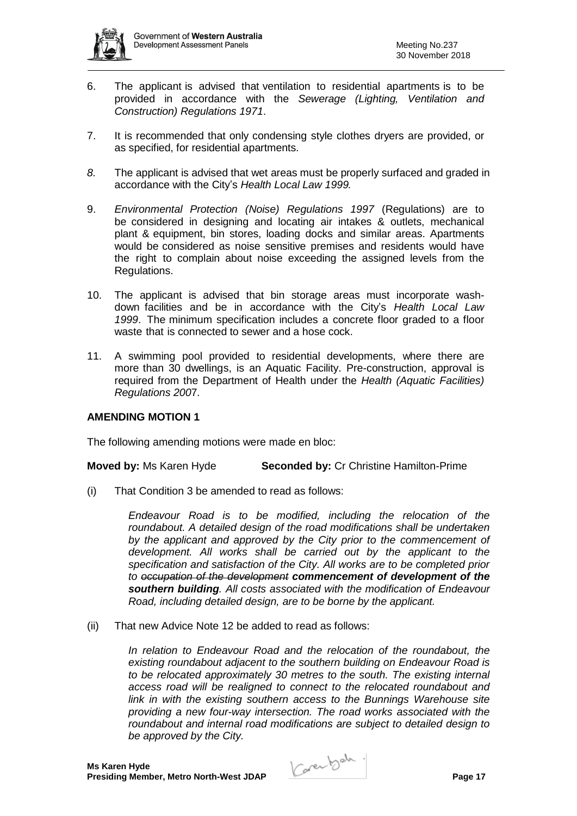- 6. The applicant is advised that ventilation to residential apartments is to be provided in accordance with the *Sewerage (Lighting, Ventilation and Construction) Regulations 1971*.
- 7. It is recommended that only condensing style clothes dryers are provided, or as specified, for residential apartments.
- *8.* The applicant is advised that wet areas must be properly surfaced and graded in accordance with the City's *Health Local Law 1999.*
- 9. *Environmental Protection (Noise) Regulations 1997* (Regulations) are to be considered in designing and locating air intakes & outlets, mechanical plant & equipment, bin stores, loading docks and similar areas. Apartments would be considered as noise sensitive premises and residents would have the right to complain about noise exceeding the assigned levels from the Regulations.
- 10. The applicant is advised that bin storage areas must incorporate washdown facilities and be in accordance with the City's *Health Local Law 1999*. The minimum specification includes a concrete floor graded to a floor waste that is connected to sewer and a hose cock.
- 11. A swimming pool provided to residential developments, where there are more than 30 dwellings, is an Aquatic Facility. Pre-construction, approval is required from the Department of Health under the *Health (Aquatic Facilities) Regulations 200*7.

## **AMENDING MOTION 1**

The following amending motions were made en bloc:

**Moved by:** Ms Karen Hyde **Seconded by:** Cr Christine Hamilton-Prime

(i) That Condition 3 be amended to read as follows:

*Endeavour Road is to be modified, including the relocation of the roundabout. A detailed design of the road modifications shall be undertaken by the applicant and approved by the City prior to the commencement of development. All works shall be carried out by the applicant to the specification and satisfaction of the City. All works are to be completed prior to occupation of the development commencement of development of the southern building. All costs associated with the modification of Endeavour Road, including detailed design, are to be borne by the applicant.* 

(ii) That new Advice Note 12 be added to read as follows:

*In relation to Endeavour Road and the relocation of the roundabout, the existing roundabout adjacent to the southern building on Endeavour Road is to be relocated approximately 30 metres to the south. The existing internal access road will be realigned to connect to the relocated roundabout and link in with the existing southern access to the Bunnings Warehouse site providing a new four-way intersection. The road works associated with the roundabout and internal road modifications are subject to detailed design to be approved by the City.*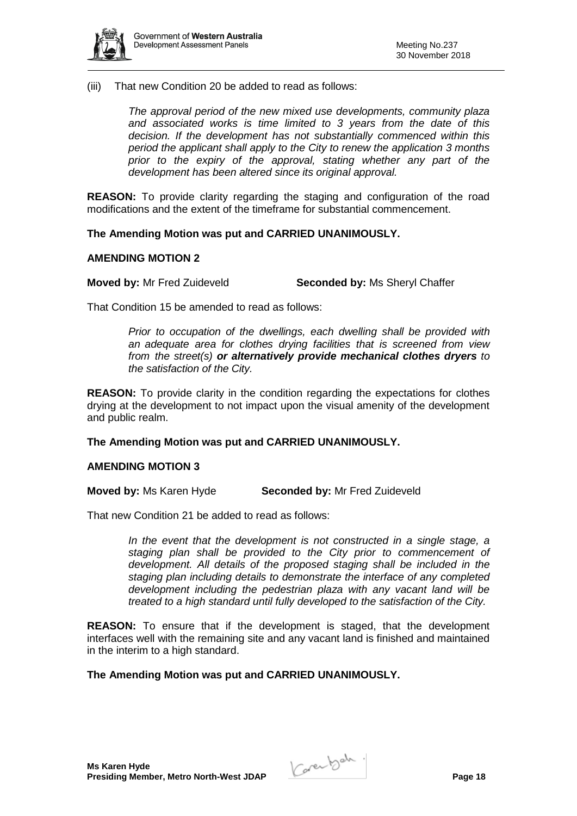

(iii) That new Condition 20 be added to read as follows:

*The approval period of the new mixed use developments, community plaza and associated works is time limited to 3 years from the date of this decision. If the development has not substantially commenced within this period the applicant shall apply to the City to renew the application 3 months prior to the expiry of the approval, stating whether any part of the development has been altered since its original approval.* 

**REASON:** To provide clarity regarding the staging and configuration of the road modifications and the extent of the timeframe for substantial commencement.

**The Amending Motion was put and CARRIED UNANIMOUSLY.** 

#### **AMENDING MOTION 2**

**Moved by:** Mr Fred Zuideveld **Seconded by:** Ms Sheryl Chaffer

That Condition 15 be amended to read as follows:

*Prior to occupation of the dwellings, each dwelling shall be provided with an adequate area for clothes drying facilities that is screened from view from the street(s) or alternatively provide mechanical clothes dryers to the satisfaction of the City.* 

**REASON:** To provide clarity in the condition regarding the expectations for clothes drying at the development to not impact upon the visual amenity of the development and public realm.

**The Amending Motion was put and CARRIED UNANIMOUSLY.** 

#### **AMENDING MOTION 3**

**Moved by:** Ms Karen Hyde **Seconded by:** Mr Fred Zuideveld

That new Condition 21 be added to read as follows:

In the event that the development is not constructed in a single stage, a *staging plan shall be provided to the City prior to commencement of*  development. All details of the proposed staging shall be included in the *staging plan including details to demonstrate the interface of any completed development including the pedestrian plaza with any vacant land will be treated to a high standard until fully developed to the satisfaction of the City.*

**REASON:** To ensure that if the development is staged, that the development interfaces well with the remaining site and any vacant land is finished and maintained in the interim to a high standard.

**The Amending Motion was put and CARRIED UNANIMOUSLY.**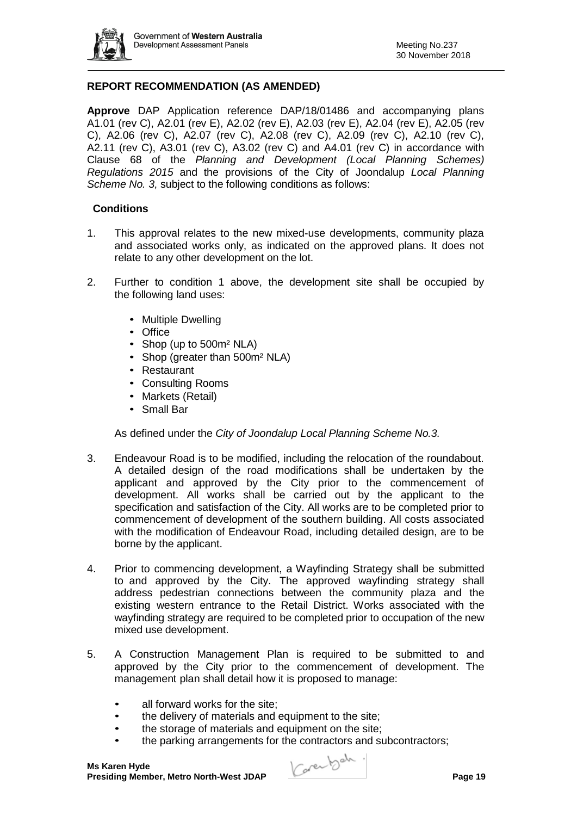

## **REPORT RECOMMENDATION (AS AMENDED)**

**Approve** DAP Application reference DAP/18/01486 and accompanying plans A1.01 (rev C), A2.01 (rev E), A2.02 (rev E), A2.03 (rev E), A2.04 (rev E), A2.05 (rev C), A2.06 (rev C), A2.07 (rev C), A2.08 (rev C), A2.09 (rev C), A2.10 (rev C), A2.11 (rev C), A3.01 (rev C), A3.02 (rev C) and A4.01 (rev C) in accordance with Clause 68 of the *Planning and Development (Local Planning Schemes) Regulations 2015* and the provisions of the City of Joondalup *Local Planning Scheme No. 3*, subject to the following conditions as follows:

#### **Conditions**

- 1. This approval relates to the new mixed-use developments, community plaza and associated works only, as indicated on the approved plans. It does not relate to any other development on the lot.
- 2. Further to condition 1 above, the development site shall be occupied by the following land uses:
	- Multiple Dwelling
	- Office
	- Shop (up to 500m<sup>2</sup> NLA)
	- Shop (greater than 500m<sup>2</sup> NLA)
	- Restaurant
	- Consulting Rooms
	- Markets (Retail)
	- Small Bar

As defined under the *City of Joondalup Local Planning Scheme No.3.*

- 3. Endeavour Road is to be modified, including the relocation of the roundabout. A detailed design of the road modifications shall be undertaken by the applicant and approved by the City prior to the commencement of development. All works shall be carried out by the applicant to the specification and satisfaction of the City. All works are to be completed prior to commencement of development of the southern building. All costs associated with the modification of Endeavour Road, including detailed design, are to be borne by the applicant.
- 4. Prior to commencing development, a Wayfinding Strategy shall be submitted to and approved by the City. The approved wayfinding strategy shall address pedestrian connections between the community plaza and the existing western entrance to the Retail District. Works associated with the wayfinding strategy are required to be completed prior to occupation of the new mixed use development.
- 5. A Construction Management Plan is required to be submitted to and approved by the City prior to the commencement of development. The management plan shall detail how it is proposed to manage:
	- all forward works for the site;
	- the delivery of materials and equipment to the site;
	- the storage of materials and equipment on the site;
	- the parking arrangements for the contractors and subcontractors;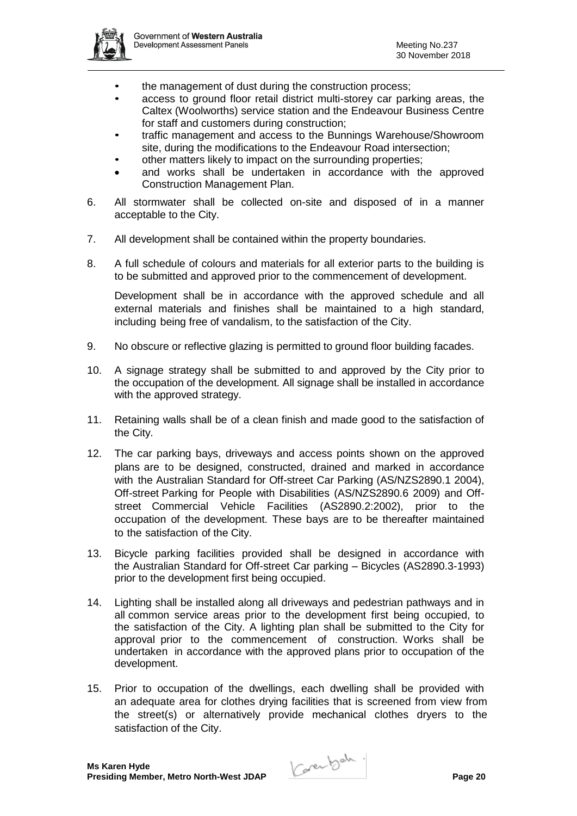

- the management of dust during the construction process;
- access to ground floor retail district multi-storey car parking areas, the Caltex (Woolworths) service station and the Endeavour Business Centre for staff and customers during construction;
- traffic management and access to the Bunnings Warehouse/Showroom site, during the modifications to the Endeavour Road intersection;
- other matters likely to impact on the surrounding properties;
- and works shall be undertaken in accordance with the approved Construction Management Plan.
- 6. All stormwater shall be collected on-site and disposed of in a manner acceptable to the City.
- 7. All development shall be contained within the property boundaries.
- 8. A full schedule of colours and materials for all exterior parts to the building is to be submitted and approved prior to the commencement of development.

Development shall be in accordance with the approved schedule and all external materials and finishes shall be maintained to a high standard, including being free of vandalism, to the satisfaction of the City.

- 9. No obscure or reflective glazing is permitted to ground floor building facades.
- 10. A signage strategy shall be submitted to and approved by the City prior to the occupation of the development. All signage shall be installed in accordance with the approved strategy.
- 11. Retaining walls shall be of a clean finish and made good to the satisfaction of the City.
- 12. The car parking bays, driveways and access points shown on the approved plans are to be designed, constructed, drained and marked in accordance with the Australian Standard for Off-street Car Parking (AS/NZS2890.1 2004), Off-street Parking for People with Disabilities (AS/NZS2890.6 2009) and Offstreet Commercial Vehicle Facilities (AS2890.2:2002), prior to the occupation of the development. These bays are to be thereafter maintained to the satisfaction of the City.
- 13. Bicycle parking facilities provided shall be designed in accordance with the Australian Standard for Off-street Car parking – Bicycles (AS2890.3-1993) prior to the development first being occupied.
- 14. Lighting shall be installed along all driveways and pedestrian pathways and in all common service areas prior to the development first being occupied, to the satisfaction of the City. A lighting plan shall be submitted to the City for approval prior to the commencement of construction. Works shall be undertaken in accordance with the approved plans prior to occupation of the development.
- 15. Prior to occupation of the dwellings, each dwelling shall be provided with an adequate area for clothes drying facilities that is screened from view from the street(s) or alternatively provide mechanical clothes dryers to the satisfaction of the City.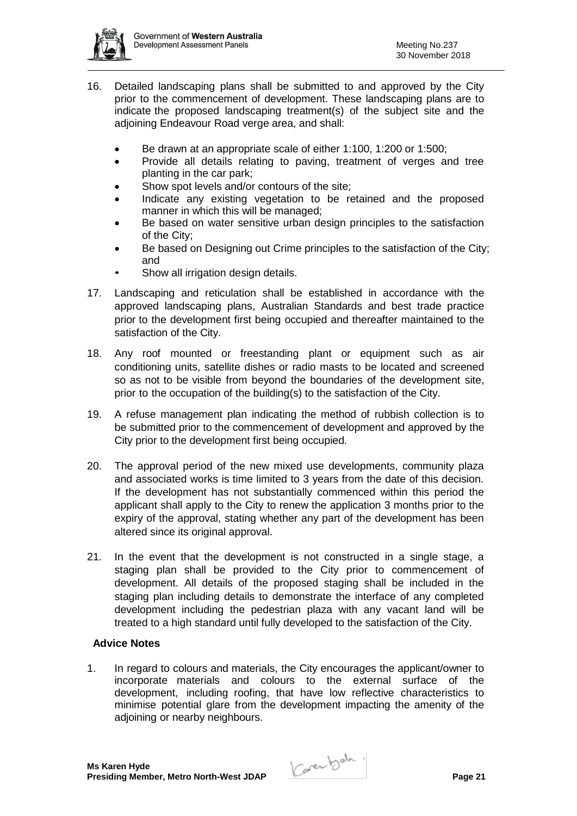

- 16. Detailed landscaping plans shall be submitted to and approved by the City prior to the commencement of development. These landscaping plans are to indicate the proposed landscaping treatment(s) of the subject site and the adjoining Endeavour Road verge area, and shall:
	- Be drawn at an appropriate scale of either 1:100, 1:200 or 1:500;
	- Provide all details relating to paving, treatment of verges and tree planting in the car park;
	- Show spot levels and/or contours of the site;
	- Indicate any existing vegetation to be retained and the proposed manner in which this will be managed;
	- Be based on water sensitive urban design principles to the satisfaction of the City;
	- Be based on Designing out Crime principles to the satisfaction of the City; and
	- Show all irrigation design details.
- 17. Landscaping and reticulation shall be established in accordance with the approved landscaping plans, Australian Standards and best trade practice prior to the development first being occupied and thereafter maintained to the satisfaction of the City.
- 18. Any roof mounted or freestanding plant or equipment such as air conditioning units, satellite dishes or radio masts to be located and screened so as not to be visible from beyond the boundaries of the development site, prior to the occupation of the building(s) to the satisfaction of the City.
- 19. A refuse management plan indicating the method of rubbish collection is to be submitted prior to the commencement of development and approved by the City prior to the development first being occupied.
- 20. The approval period of the new mixed use developments, community plaza and associated works is time limited to 3 years from the date of this decision. If the development has not substantially commenced within this period the applicant shall apply to the City to renew the application 3 months prior to the expiry of the approval, stating whether any part of the development has been altered since its original approval.
- 21. In the event that the development is not constructed in a single stage, a staging plan shall be provided to the City prior to commencement of development. All details of the proposed staging shall be included in the staging plan including details to demonstrate the interface of any completed development including the pedestrian plaza with any vacant land will be treated to a high standard until fully developed to the satisfaction of the City.

#### **Advice Notes**

1. In regard to colours and materials, the City encourages the applicant/owner to incorporate materials and colours to the external surface of the development, including roofing, that have low reflective characteristics to minimise potential glare from the development impacting the amenity of the adjoining or nearby neighbours.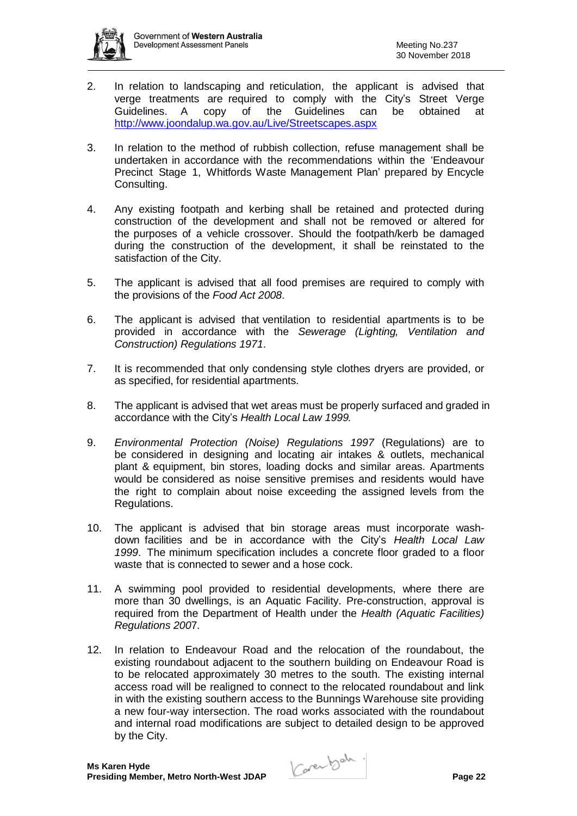

- 2. In relation to landscaping and reticulation, the applicant is advised that verge treatments are required to comply with the City's Street Verge<br>Guidelines. A copy of the Guidelines can be obtained at Guidelines. A copy of the Guidelines can be obtained at <http://www.joondalup.wa.gov.au/Live/Streetscapes.aspx>
- 3. In relation to the method of rubbish collection, refuse management shall be undertaken in accordance with the recommendations within the 'Endeavour Precinct Stage 1, Whitfords Waste Management Plan' prepared by Encycle Consulting.
- 4. Any existing footpath and kerbing shall be retained and protected during construction of the development and shall not be removed or altered for the purposes of a vehicle crossover. Should the footpath/kerb be damaged during the construction of the development, it shall be reinstated to the satisfaction of the City.
- 5. The applicant is advised that all food premises are required to comply with the provisions of the *Food Act 2008*.
- 6. The applicant is advised that ventilation to residential apartments is to be provided in accordance with the *Sewerage (Lighting, Ventilation and Construction) Regulations 1971*.
- 7. It is recommended that only condensing style clothes dryers are provided, or as specified, for residential apartments.
- 8. The applicant is advised that wet areas must be properly surfaced and graded in accordance with the City's *Health Local Law 1999.*
- 9. *Environmental Protection (Noise) Regulations 1997* (Regulations) are to be considered in designing and locating air intakes & outlets, mechanical plant & equipment, bin stores, loading docks and similar areas. Apartments would be considered as noise sensitive premises and residents would have the right to complain about noise exceeding the assigned levels from the Regulations.
- 10. The applicant is advised that bin storage areas must incorporate washdown facilities and be in accordance with the City's *Health Local Law 1999*. The minimum specification includes a concrete floor graded to a floor waste that is connected to sewer and a hose cock.
- 11. A swimming pool provided to residential developments, where there are more than 30 dwellings, is an Aquatic Facility. Pre-construction, approval is required from the Department of Health under the *Health (Aquatic Facilities) Regulations 200*7.
- 12. In relation to Endeavour Road and the relocation of the roundabout, the existing roundabout adjacent to the southern building on Endeavour Road is to be relocated approximately 30 metres to the south. The existing internal access road will be realigned to connect to the relocated roundabout and link in with the existing southern access to the Bunnings Warehouse site providing a new four-way intersection. The road works associated with the roundabout and internal road modifications are subject to detailed design to be approved by the City.